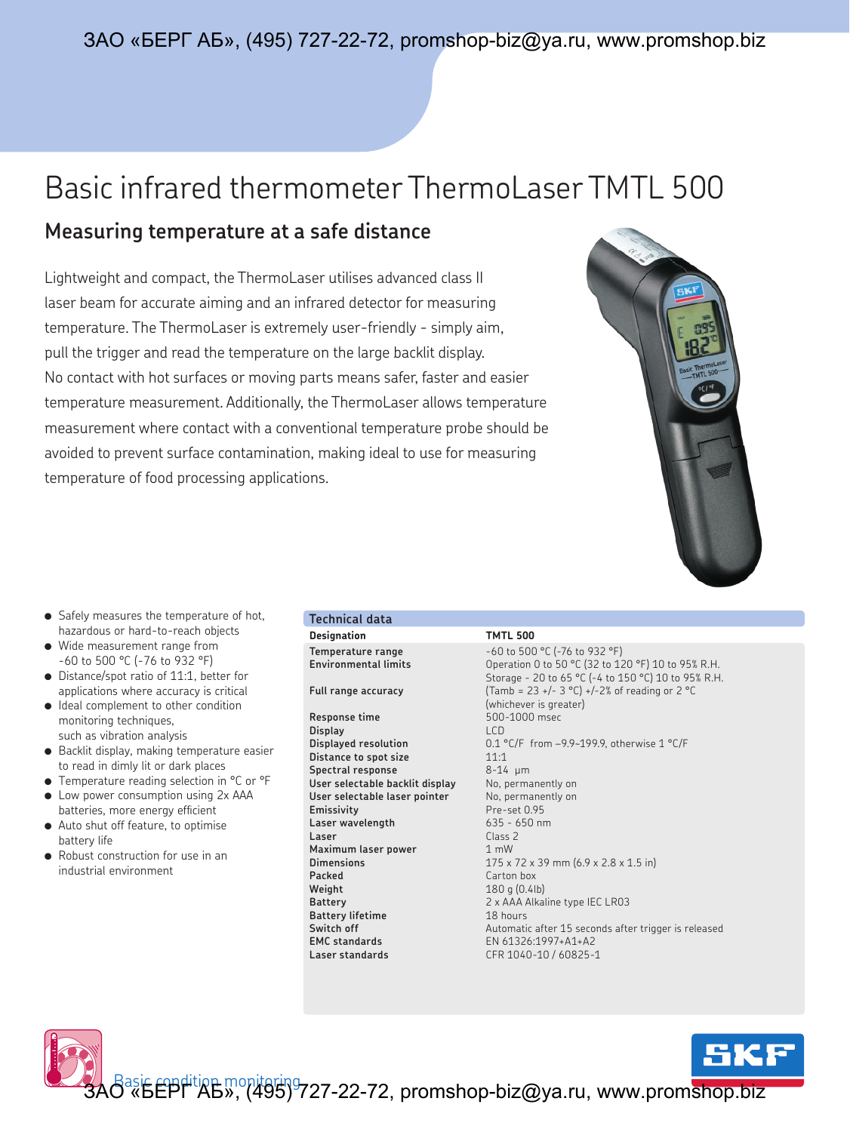## ЗАО «БЕРГ АБ», (495) 727-22-72, promshop-biz@ya.ru, www.promshop.biz

## Basic infrared thermometer ThermoLaser TMTL 500

## **Measuring temperature at a safe distance**

Lightweight and compact, the ThermoLaser utilises advanced class II laser beam for accurate aiming and an infrared detector for measuring temperature. The ThermoLaser is extremely user-friendly - simply aim, pull the trigger and read the temperature on the large backlit display. No contact with hot surfaces or moving parts means safer, faster and easier temperature measurement. Additionally, the ThermoLaser allows temperature measurement where contact with a conventional temperature probe should be avoided to prevent surface contamination, making ideal to use for measuring temperature of food processing applications.



- Safely measures the temperature of hot, hazardous or hard-to-reach objects
- Wide measurement range from -60 to 500 °C (-76 to 932 °F)
- Distance/spot ratio of 11:1, better for applications where accuracy is critical
- Ideal complement to other condition monitoring techniques, such as vibration analysis
- Backlit display, making temperature easier to read in dimly lit or dark places
- Temperature reading selection in °C or °F
- Low power consumption using 2x AAA batteries, more energy efficient
- Auto shut off feature, to optimise battery life
- Robust construction for use in an industrial environment

## **Designation TMTL 500 Technical data**

**Response time** 500-1000 msec **Display** LCD **Distance to spot size** 11:1 **Spectral response** 8-14 μm **User selectable backlit display** No, permanently on User selectable laser pointer No, permanently on **Emissivity** Pre-set 0.95 **Laser wavelength** 635 - 650 nm **Laser** Class 2 **Maximum laser power** 1 mW **Packed** Carton box **Weight** 180 g (0.4lb) **Battery lifetime** 18 hours **EMC standards** EN 61326:1997+A1+A2 **Laser standards** CFR 1040-10 / 60825-1

**Temperature range**  $-60$  to 500 °C (-76 to 932 °F)<br>**Environmental limits** Operation 0 to 50 °C (32 to 12 **Environmental limits** Operation 0 to 50 °C (32 to 120 °F) 10 to 95% R.H. Storage - 20 to 65 °C (-4 to 150 °C) 10 to 95% R.H. **Full range accuracy** (Tamb = 23 +/- 3 °C) +/-2% of reading or 2 °C (whichever is greater) **Displayed resolution** 0.1 °C/F from -9.9~199.9, otherwise 1 °C/F **Dimensions** 175 x 72 x 39 mm (6.9 x 2.8 x 1.5 in) **Battery** 2 x AAA Alkaline type IEC LR03 **Switch off** Automatic after 15 seconds after trigger is released

ЗАО<sup>аsi</sup>ѣ́ЁРГ <sup>ніц</sup>АВ», (495)<sup>9</sup>727-22-72, promshop-biz@ya.ru, www.prom<mark>shop.biz</mark>